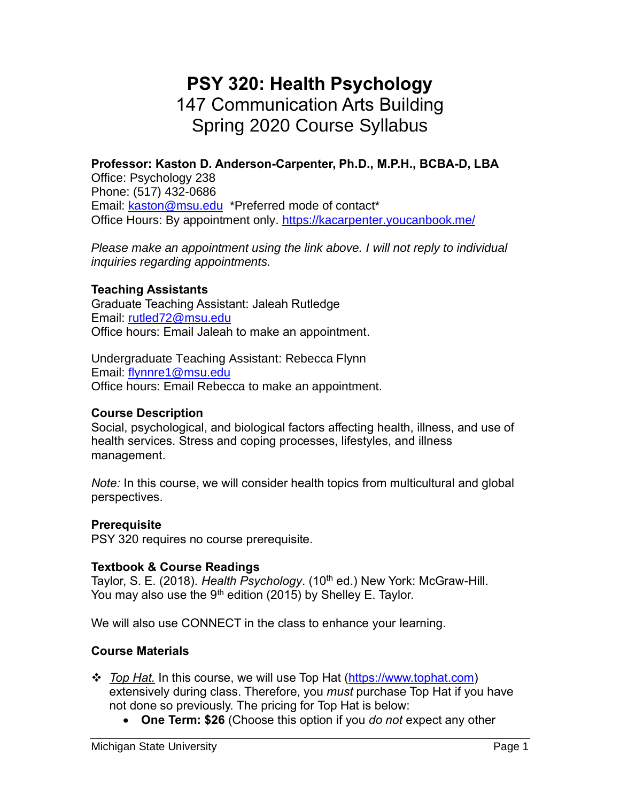# **PSY 320: Health Psychology** 147 Communication Arts Building Spring 2020 Course Syllabus

## **Professor: Kaston D. Anderson-Carpenter, Ph.D., M.P.H., BCBA-D, LBA**

Office: Psychology 238 Phone: (517) 432-0686 Email: [kaston@msu.edu](mailto:kaston@msu.edu) \*Preferred mode of contact\* Office Hours: By appointment only.<https://kacarpenter.youcanbook.me/>

*Please make an appointment using the link above. I will not reply to individual inquiries regarding appointments.*

#### **Teaching Assistants**

Graduate Teaching Assistant: Jaleah Rutledge Email: [rutled72@msu.edu](mailto:rutled72@msu.edu) Office hours: Email Jaleah to make an appointment.

Undergraduate Teaching Assistant: Rebecca Flynn Email: [flynnre1@msu.edu](mailto:flynnre1@msu.edu) Office hours: Email Rebecca to make an appointment.

#### **Course Description**

Social, psychological, and biological factors affecting health, illness, and use of health services. Stress and coping processes, lifestyles, and illness management.

*Note:* In this course, we will consider health topics from multicultural and global perspectives.

#### **Prerequisite**

PSY 320 requires no course prerequisite.

#### **Textbook & Course Readings**

Taylor, S. E. (2018). *Health Psychology*. (10<sup>th</sup> ed.) New York: McGraw-Hill. You may also use the  $9<sup>th</sup>$  edition (2015) by Shelley E. Taylor.

We will also use CONNECT in the class to enhance your learning.

#### **Course Materials**

- ❖ *Top Hat.* In this course, we will use Top Hat [\(https://www.tophat.com\)](https://www.tophat.com/) extensively during class. Therefore, you *must* purchase Top Hat if you have not done so previously. The pricing for Top Hat is below:
	- **One Term: \$26** (Choose this option if you *do not* expect any other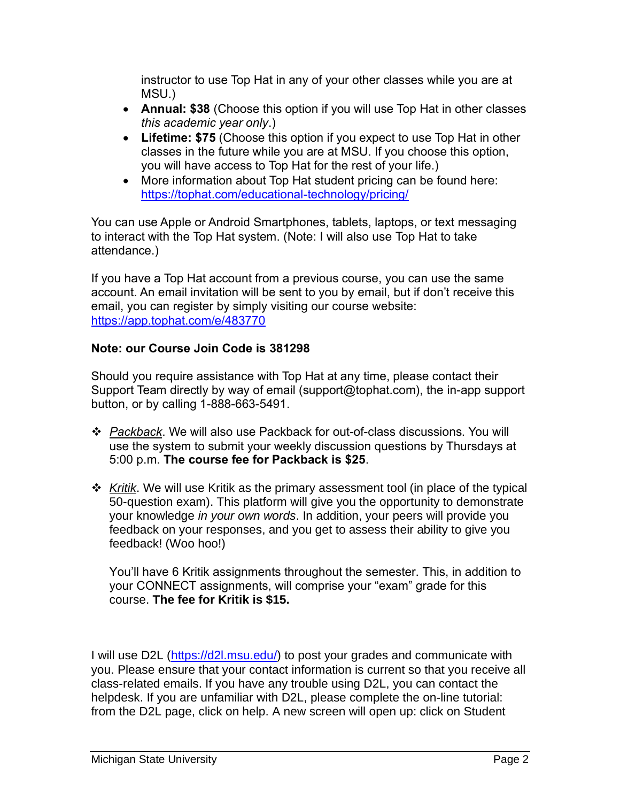instructor to use Top Hat in any of your other classes while you are at MSU.)

- **Annual: \$38** (Choose this option if you will use Top Hat in other classes *this academic year only*.)
- **Lifetime: \$75** (Choose this option if you expect to use Top Hat in other classes in the future while you are at MSU. If you choose this option, you will have access to Top Hat for the rest of your life.)
- More information about Top Hat student pricing can be found here: <https://tophat.com/educational-technology/pricing/>

You can use Apple or Android Smartphones, tablets, laptops, or text messaging to interact with the Top Hat system. (Note: I will also use Top Hat to take attendance.)

If you have a Top Hat account from a previous course, you can use the same account. An email invitation will be sent to you by email, but if don't receive this email, you can register by simply visiting our course website: <https://app.tophat.com/e/483770>

### **Note: our Course Join Code is 381298**

Should you require assistance with Top Hat at any time, please contact their Support Team directly by way of email (support@tophat.com), the in-app support button, or by calling 1-888-663-5491.

- ❖ *Packback*. We will also use Packback for out-of-class discussions. You will use the system to submit your weekly discussion questions by Thursdays at 5:00 p.m. **The course fee for Packback is \$25**.
- ❖ *Kritik*. We will use Kritik as the primary assessment tool (in place of the typical 50-question exam). This platform will give you the opportunity to demonstrate your knowledge *in your own words*. In addition, your peers will provide you feedback on your responses, and you get to assess their ability to give you feedback! (Woo hoo!)

You'll have 6 Kritik assignments throughout the semester. This, in addition to your CONNECT assignments, will comprise your "exam" grade for this course. **The fee for Kritik is \$15.**

I will use D2L [\(https://d2l.msu.edu/\)](https://d2l.msu.edu/) to post your grades and communicate with you. Please ensure that your contact information is current so that you receive all class-related emails. If you have any trouble using D2L, you can contact the helpdesk. If you are unfamiliar with D2L, please complete the on-line tutorial: from the D2L page, click on help. A new screen will open up: click on Student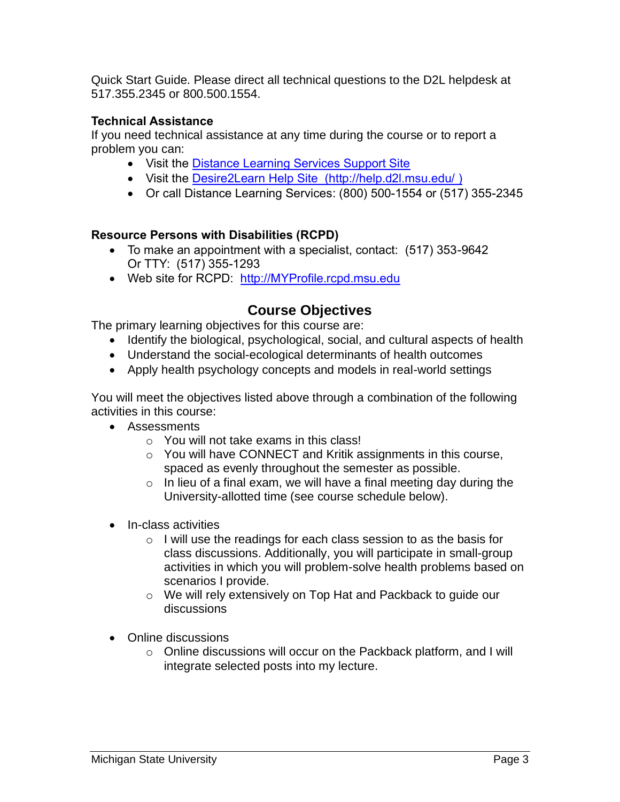Quick Start Guide. Please direct all technical questions to the D2L helpdesk at 517.355.2345 or 800.500.1554.

### **Technical Assistance**

If you need technical assistance at any time during the course or to report a problem you can:

- Visit the [Distance Learning Services Support Site](https://www.lib.msu.edu/dls/)
- Visit the [Desire2Learn Help Site \(http://help.d2l.msu.edu/](http://help.d2l.msu.edu/) )
- Or call Distance Learning Services: (800) 500-1554 or (517) 355-2345

#### **Resource Persons with Disabilities (RCPD)**

- To make an appointment with a specialist, contact: (517) 353-9642 Or TTY: (517) 355-1293
- Web site for RCPD: [http://MYProfile.rcpd.msu.edu](http://myprofile.rcpd.msu.edu/)

## **Course Objectives**

The primary learning objectives for this course are:

- Identify the biological, psychological, social, and cultural aspects of health
- Understand the social-ecological determinants of health outcomes
- Apply health psychology concepts and models in real-world settings

You will meet the objectives listed above through a combination of the following activities in this course:

- Assessments
	- o You will not take exams in this class!
	- o You will have CONNECT and Kritik assignments in this course, spaced as evenly throughout the semester as possible.
	- $\circ$  In lieu of a final exam, we will have a final meeting day during the University-allotted time (see course schedule below).
- In-class activities
	- o I will use the readings for each class session to as the basis for class discussions. Additionally, you will participate in small-group activities in which you will problem-solve health problems based on scenarios I provide.
	- o We will rely extensively on Top Hat and Packback to guide our discussions
- Online discussions
	- o Online discussions will occur on the Packback platform, and I will integrate selected posts into my lecture.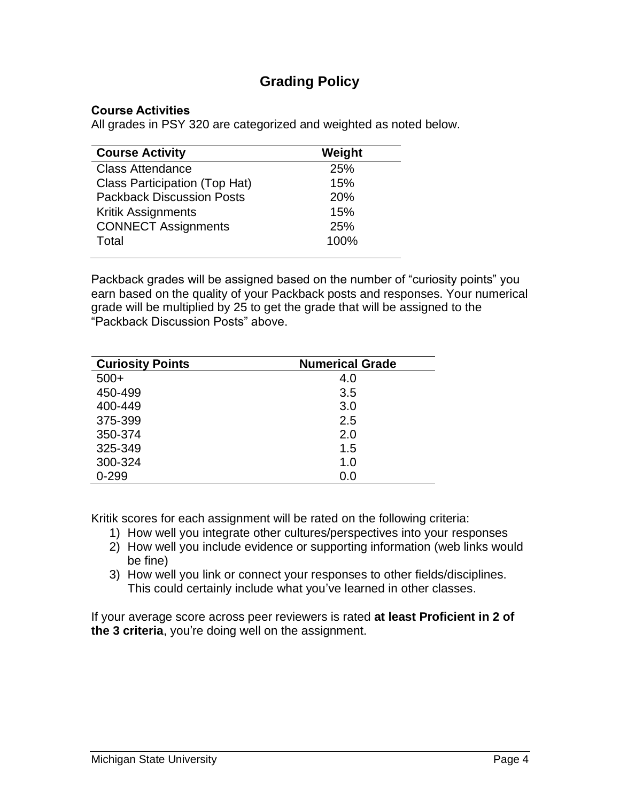## **Grading Policy**

#### **Course Activities**

All grades in PSY 320 are categorized and weighted as noted below.

| <b>Course Activity</b>               | Weight |
|--------------------------------------|--------|
| <b>Class Attendance</b>              | 25%    |
| <b>Class Participation (Top Hat)</b> | 15%    |
| <b>Packback Discussion Posts</b>     | 20%    |
| <b>Kritik Assignments</b>            | 15%    |
| <b>CONNECT Assignments</b>           | 25%    |
| Total                                | 100%   |
|                                      |        |

Packback grades will be assigned based on the number of "curiosity points" you earn based on the quality of your Packback posts and responses. Your numerical grade will be multiplied by 25 to get the grade that will be assigned to the "Packback Discussion Posts" above.

| <b>Curiosity Points</b> | <b>Numerical Grade</b> |
|-------------------------|------------------------|
| $500+$                  | 4.0                    |
| 450-499                 | 3.5                    |
| 400-449                 | 3.0                    |
| 375-399                 | 2.5                    |
| 350-374                 | 2.0                    |
| 325-349                 | 1.5                    |
| 300-324                 | 1.0                    |
| $0 - 299$               | 0.0                    |

Kritik scores for each assignment will be rated on the following criteria:

- 1) How well you integrate other cultures/perspectives into your responses
- 2) How well you include evidence or supporting information (web links would be fine)
- 3) How well you link or connect your responses to other fields/disciplines. This could certainly include what you've learned in other classes.

If your average score across peer reviewers is rated **at least Proficient in 2 of the 3 criteria**, you're doing well on the assignment.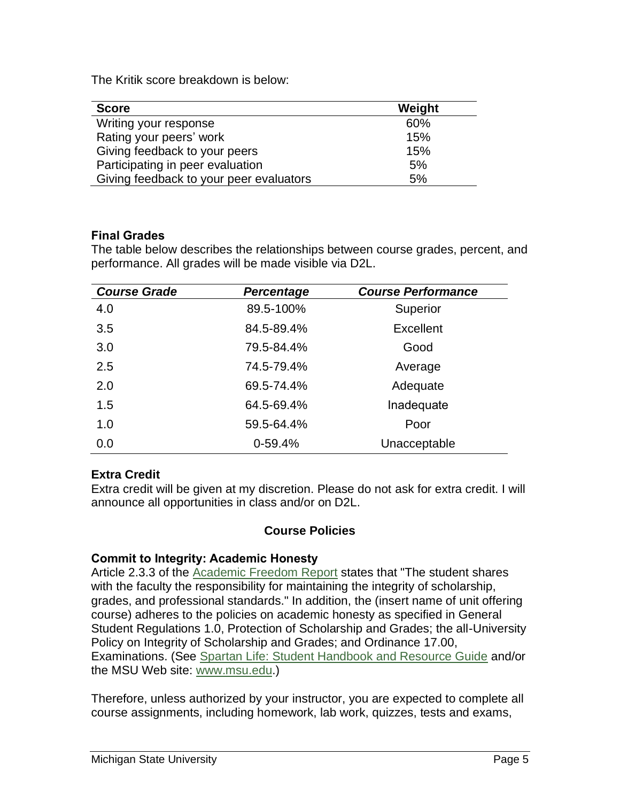The Kritik score breakdown is below:

| <b>Score</b>                            | Weight |
|-----------------------------------------|--------|
| Writing your response                   | 60%    |
| Rating your peers' work                 | 15%    |
| Giving feedback to your peers           | 15%    |
| Participating in peer evaluation        | 5%     |
| Giving feedback to your peer evaluators | 5%     |

#### **Final Grades**

The table below describes the relationships between course grades, percent, and performance. All grades will be made visible via D2L.

| <b>Course Grade</b> | <b>Percentage</b> | <b>Course Performance</b> |
|---------------------|-------------------|---------------------------|
| 4.0                 | 89.5-100%         | Superior                  |
| 3.5                 | 84.5-89.4%        | <b>Excellent</b>          |
| 3.0                 | 79.5-84.4%        | Good                      |
| 2.5                 | 74.5-79.4%        | Average                   |
| 2.0                 | 69.5-74.4%        | Adequate                  |
| 1.5                 | 64.5-69.4%        | Inadequate                |
| 1.0                 | 59.5-64.4%        | Poor                      |
| 0.0                 | $0-59.4%$         | Unacceptable              |

#### **Extra Credit**

Extra credit will be given at my discretion. Please do not ask for extra credit. I will announce all opportunities in class and/or on D2L.

#### **Course Policies**

#### **Commit to Integrity: Academic Honesty**

Article 2.3.3 of the **Academic Freedom Report** states that "The student shares with the faculty the responsibility for maintaining the integrity of scholarship, grades, and professional standards." In addition, the (insert name of unit offering course) adheres to the policies on academic honesty as specified in General Student Regulations 1.0, Protection of Scholarship and Grades; the all-University Policy on Integrity of Scholarship and Grades; and Ordinance 17.00, Examinations. (See [Spartan Life: Student Handbook and Resource Guide](http://splife.studentlife.msu.edu/) and/or the MSU Web site: [www.msu.edu.](http://www.msu.edu/))

Therefore, unless authorized by your instructor, you are expected to complete all course assignments, including homework, lab work, quizzes, tests and exams,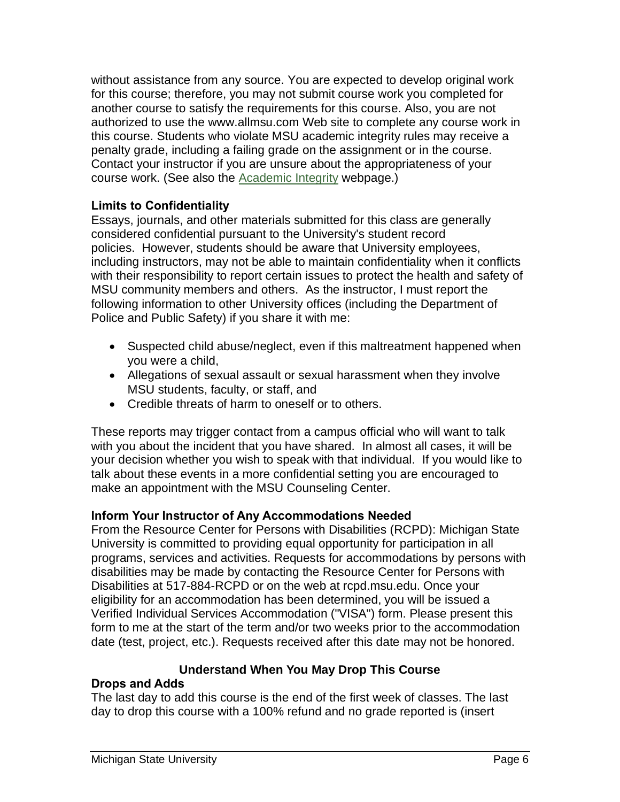without assistance from any source. You are expected to develop original work for this course; therefore, you may not submit course work you completed for another course to satisfy the requirements for this course. Also, you are not authorized to use the www.allmsu.com Web site to complete any course work in this course. Students who violate MSU academic integrity rules may receive a penalty grade, including a failing grade on the assignment or in the course. Contact your instructor if you are unsure about the appropriateness of your course work. (See also the **Academic Integrity** webpage.)

#### **Limits to Confidentiality**

Essays, journals, and other materials submitted for this class are generally considered confidential pursuant to the University's student record policies. However, students should be aware that University employees, including instructors, may not be able to maintain confidentiality when it conflicts with their responsibility to report certain issues to protect the health and safety of MSU community members and others. As the instructor, I must report the following information to other University offices (including the Department of Police and Public Safety) if you share it with me:

- Suspected child abuse/neglect, even if this maltreatment happened when you were a child,
- Allegations of sexual assault or sexual harassment when they involve MSU students, faculty, or staff, and
- Credible threats of harm to oneself or to others.

These reports may trigger contact from a campus official who will want to talk with you about the incident that you have shared. In almost all cases, it will be your decision whether you wish to speak with that individual. If you would like to talk about these events in a more confidential setting you are encouraged to make an appointment with the MSU Counseling Center.

#### **Inform Your Instructor of Any Accommodations Needed**

From the Resource Center for Persons with Disabilities (RCPD): Michigan State University is committed to providing equal opportunity for participation in all programs, services and activities. Requests for accommodations by persons with disabilities may be made by contacting the Resource Center for Persons with Disabilities at 517-884-RCPD or on the web at rcpd.msu.edu. Once your eligibility for an accommodation has been determined, you will be issued a Verified Individual Services Accommodation ("VISA") form. Please present this form to me at the start of the term and/or two weeks prior to the accommodation date (test, project, etc.). Requests received after this date may not be honored.

#### **Understand When You May Drop This Course**

#### **Drops and Adds**

The last day to add this course is the end of the first week of classes. The last day to drop this course with a 100% refund and no grade reported is (insert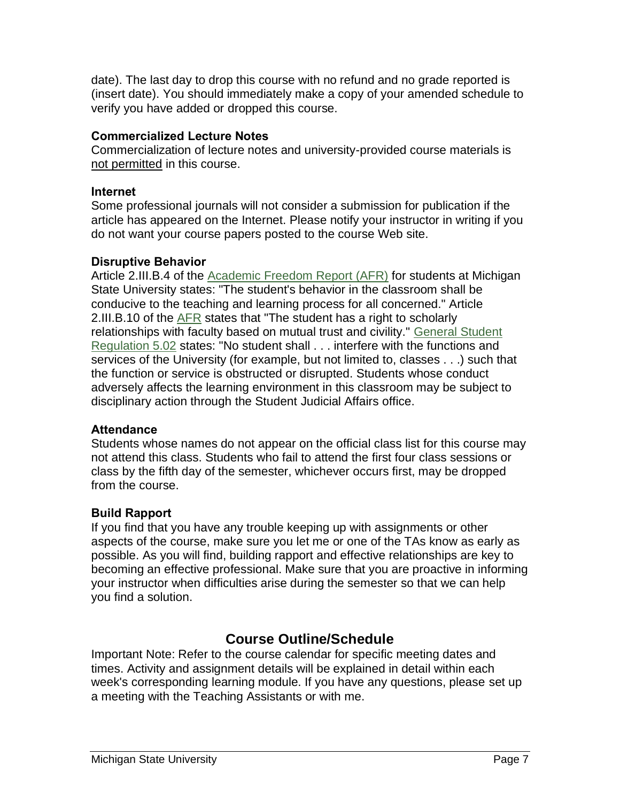date). The last day to drop this course with no refund and no grade reported is (insert date). You should immediately make a copy of your amended schedule to verify you have added or dropped this course.

#### **Commercialized Lecture Notes**

Commercialization of lecture notes and university-provided course materials is not permitted in this course.

#### **Internet**

Some professional journals will not consider a submission for publication if the article has appeared on the Internet. Please notify your instructor in writing if you do not want your course papers posted to the course Web site.

#### **Disruptive Behavior**

Article 2.III.B.4 of the **Academic Freedom Report (AFR)** for students at Michigan State University states: "The student's behavior in the classroom shall be conducive to the teaching and learning process for all concerned." Article 2.III.B.10 of the [AFR](http://splife.studentlife.msu.edu/academic-freedom-for-students-at-michigan-state-university) states that "The student has a right to scholarly relationships with faculty based on mutual trust and civility." [General Student](http://splife.studentlife.msu.edu/regulations/general-student-regulations)  [Regulation 5.02](http://splife.studentlife.msu.edu/regulations/general-student-regulations) states: "No student shall . . . interfere with the functions and services of the University (for example, but not limited to, classes . . .) such that the function or service is obstructed or disrupted. Students whose conduct adversely affects the learning environment in this classroom may be subject to disciplinary action through the Student Judicial Affairs office.

#### **Attendance**

Students whose names do not appear on the official class list for this course may not attend this class. Students who fail to attend the first four class sessions or class by the fifth day of the semester, whichever occurs first, may be dropped from the course.

#### **Build Rapport**

If you find that you have any trouble keeping up with assignments or other aspects of the course, make sure you let me or one of the TAs know as early as possible. As you will find, building rapport and effective relationships are key to becoming an effective professional. Make sure that you are proactive in informing your instructor when difficulties arise during the semester so that we can help you find a solution.

## **Course Outline/Schedule**

Important Note: Refer to the course calendar for specific meeting dates and times. Activity and assignment details will be explained in detail within each week's corresponding learning module. If you have any questions, please set up a meeting with the Teaching Assistants or with me.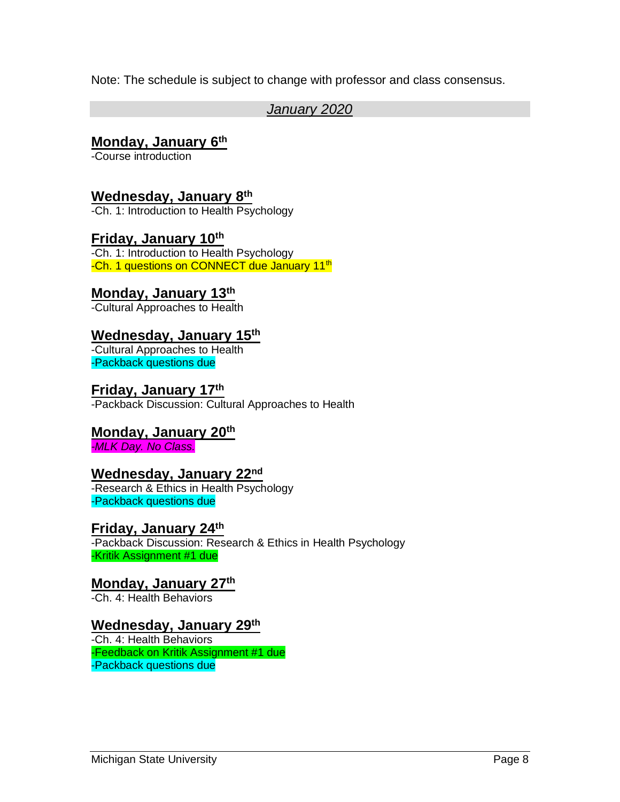Note: The schedule is subject to change with professor and class consensus.

### *January 2020*

#### **Monday, January 6th**

-Course introduction

## **Wednesday, January 8th**

-Ch. 1: Introduction to Health Psychology

#### **Friday, January 10th** -Ch. 1: Introduction to Health Psychology -Ch. 1 questions on CONNECT due January 11<sup>th</sup>

## **Monday, January 13th**

-Cultural Approaches to Health

## **Wednesday, January 15th**

-Cultural Approaches to Health -Packback questions due

#### **Friday, January 17th**

-Packback Discussion: Cultural Approaches to Health

## **Monday, January 20th**

*-MLK Day. No Class.*

## **Wednesday, January 22nd**

-Research & Ethics in Health Psychology -Packback questions due

#### **Friday, January 24th**

-Packback Discussion: Research & Ethics in Health Psychology -Kritik Assignment #1 due

## **Monday, January 27th**

-Ch. 4: Health Behaviors

## **Wednesday, January 29th**

-Ch. 4: Health Behaviors -Feedback on Kritik Assignment #1 due -Packback questions due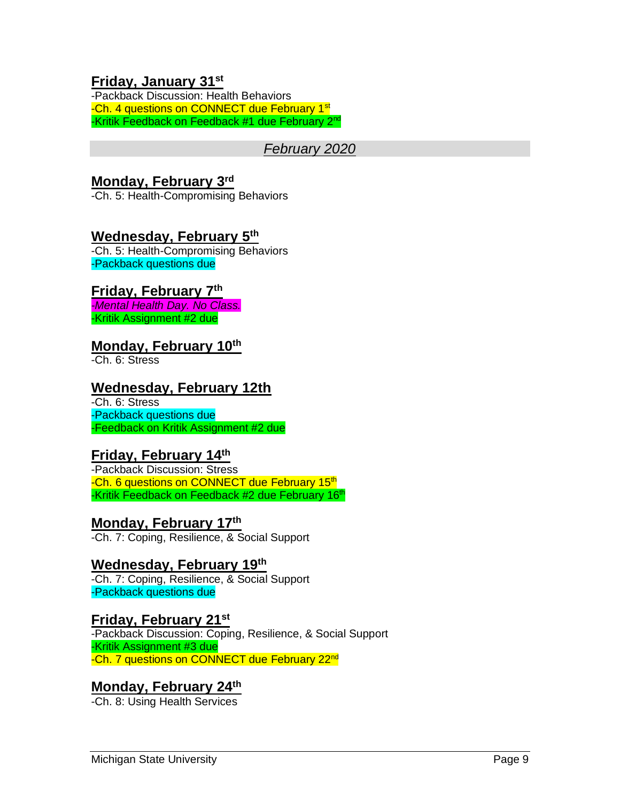### **Friday, January 31st**

-Packback Discussion: Health Behaviors -Ch. 4 questions on CONNECT due February 1<sup>st</sup> -Kritik Feedback on Feedback #1 due February 2nd

#### *February 2020*

#### **Monday, February 3rd**

-Ch. 5: Health-Compromising Behaviors

#### **Wednesday, February 5th**

-Ch. 5: Health-Compromising Behaviors -Packback questions due

#### **Friday, February 7th**

*-Mental Health Day. No Class.* -Kritik Assignment #2 due

#### **Monday, February 10th**

-Ch. 6: Stress

### **Wednesday, February 12th**

-Ch. 6: Stress -Packback questions due -Feedback on Kritik Assignment #2 due

#### **Friday, February 14th**

-Packback Discussion: Stress -Ch. 6 questions on CONNECT due February 15<sup>th</sup> -Kritik Feedback on Feedback #2 due February 16<sup>th</sup>

#### **Monday, February 17th**

-Ch. 7: Coping, Resilience, & Social Support

## **Wednesday, February 19th**

-Ch. 7: Coping, Resilience, & Social Support -Packback questions due

#### **Friday, February 21st**

-Packback Discussion: Coping, Resilience, & Social Support -Kritik Assignment #3 due -Ch. 7 questions on CONNECT due February 22<sup>nd</sup>

#### **Monday, February 24th**

-Ch. 8: Using Health Services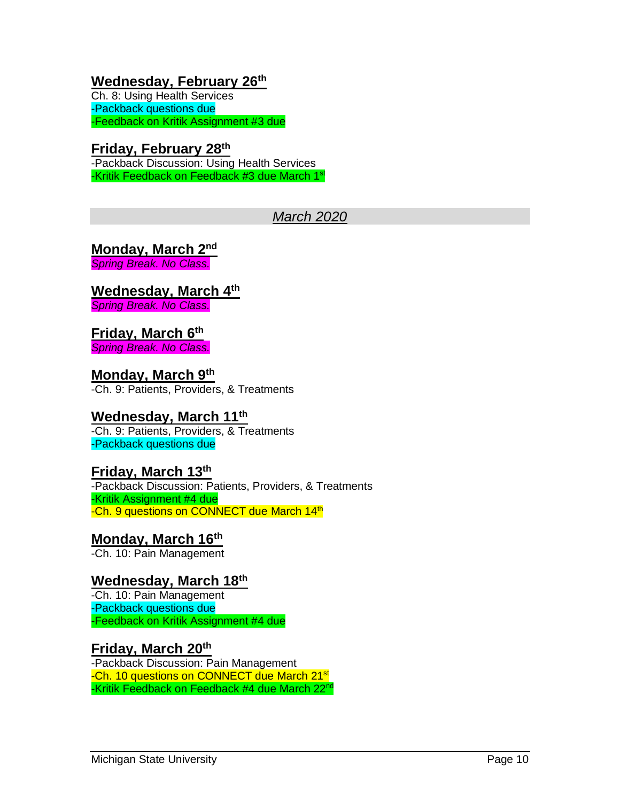## **Wednesday, February 26th**

Ch. 8: Using Health Services -Packback questions due -Feedback on Kritik Assignment #3 due

#### **Friday, February 28th**  -Packback Discussion: Using Health Services -Kritik Feedback on Feedback #3 due March 1st

## *March 2020*

**Monday, March 2nd** *Spring Break. No Class.*

**Wednesday, March 4th** *Spring Break. No Class.*

#### **Friday, March 6th** *Spring Break. No Class.*

**Monday, March 9th** -Ch. 9: Patients, Providers, & Treatments

## **Wednesday, March 11th**

-Ch. 9: Patients, Providers, & Treatments -Packback questions due

#### **Friday, March 13th**

-Packback Discussion: Patients, Providers, & Treatments -Kritik Assignment #4 due -Ch. 9 questions on CONNECT due March 14<sup>th</sup>

## **Monday, March 16th**

-Ch. 10: Pain Management

## **Wednesday, March 18th**

-Ch. 10: Pain Management -Packback questions due -Feedback on Kritik Assignment #4 due

#### **Friday, March 20th**

-Packback Discussion: Pain Management -Ch. 10 questions on CONNECT due March 21<sup>st</sup> -Kritik Feedback on Feedback #4 due March 22<sup>nd</sup>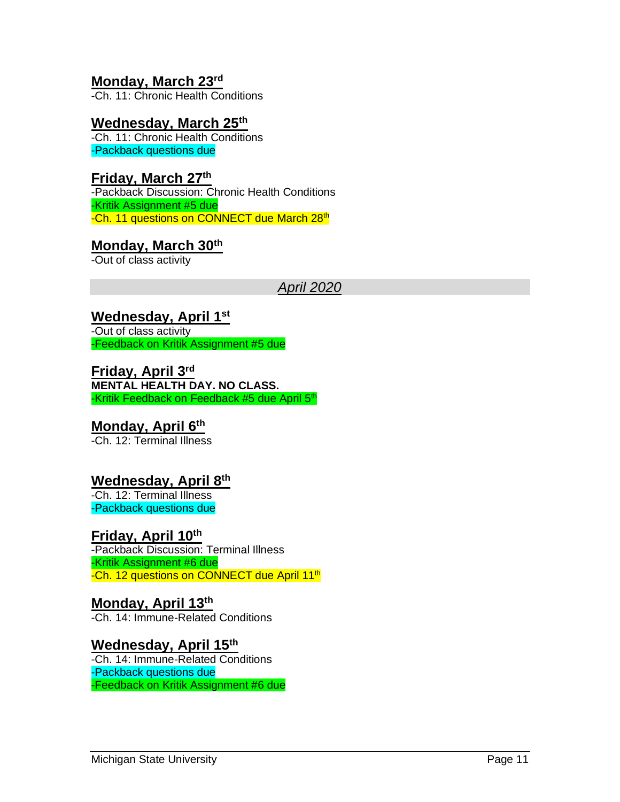## **Monday, March 23rd**

-Ch. 11: Chronic Health Conditions

#### **Wednesday, March 25th**

-Ch. 11: Chronic Health Conditions -Packback questions due

#### **Friday, March 27th**

-Packback Discussion: Chronic Health Conditions -Kritik Assignment #5 due -Ch. 11 questions on CONNECT due March 28th

#### **Monday, March 30th**

-Out of class activity

#### *April 2020*

#### **Wednesday, April 1st**

-Out of class activity -Feedback on Kritik Assignment #5 due

**Friday, April 3rd MENTAL HEALTH DAY. NO CLASS.** -Kritik Feedback on Feedback #5 due April 5<sup>th</sup>

#### **Monday, April 6th**

-Ch. 12: Terminal Illness

#### **Wednesday, April 8th**

-Ch. 12: Terminal Illness -Packback questions due

#### **Friday, April 10th**

-Packback Discussion: Terminal Illness -Kritik Assignment #6 due -Ch. 12 questions on CONNECT due April 11<sup>th</sup>

## **Monday, April 13th**

-Ch. 14: Immune-Related Conditions

#### **Wednesday, April 15th**

-Ch. 14: Immune-Related Conditions -Packback questions due -Feedback on Kritik Assignment #6 due